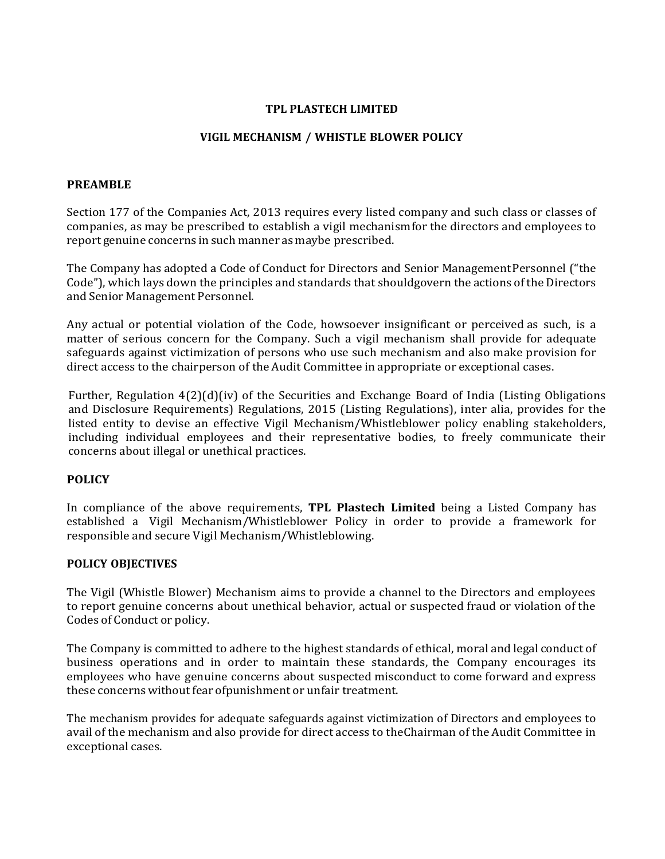#### **TPL PLASTECH LIMITED**

# **VIGIL MECHANISM / WHISTLE BLOWER POLICY**

### **PREAMBLE**

Section 177 of the Companies Act, 2013 requires every listed company and such class or classes of companies, as may be prescribed to establish a vigil mechanism for the directors and employees to report genuine concerns in such manner as maybe prescribed.

The Company has adopted a Code of Conduct for Directors and Senior Management Personnel ("the Code"), which lays down the principles and standards that should govern the actions of the Directors and Senior Management Personnel.

Any actual or potential violation of the Code, howsoever insignificant or perceived as such, is a matter of serious concern for the Company. Such a vigil mechanism shall provide for adequate safeguards against victimization of persons who use such mechanism and also make provision for direct access to the chairperson of the Audit Committee in appropriate or exceptional cases.

Further, Regulation  $4(2)(d)(iv)$  of the Securities and Exchange Board of India (Listing Obligations and Disclosure Requirements) Regulations, 2015 (Listing Regulations), inter alia, provides for the listed entity to devise an effective Vigil Mechanism/Whistleblower policy enabling stakeholders, including individual employees and their representative bodies, to freely communicate their concerns about illegal or unethical practices.

# **POLICY**

In compliance of the above requirements, **TPL Plastech Limited** being a Listed Company has established a Vigil Mechanism/Whistleblower Policy in order to provide a framework for responsible and secure Vigil Mechanism/Whistleblowing.

# **POLICY OBJECTIVES**

The Vigil (Whistle Blower) Mechanism aims to provide a channel to the Directors and employees to report genuine concerns about unethical behavior, actual or suspected fraud or violation of the Codes of Conduct or policy.

The Company is committed to adhere to the highest standards of ethical, moral and legal conduct of business operations and in order to maintain these standards, the Company encourages its employees who have genuine concerns about suspected misconduct to come forward and express these concerns without fear of punishment or unfair treatment.

The mechanism provides for adequate safeguards against victimization of Directors and employees to avail of the mechanism and also provide for direct access to the Chairman of the Audit Committee in exceptional cases.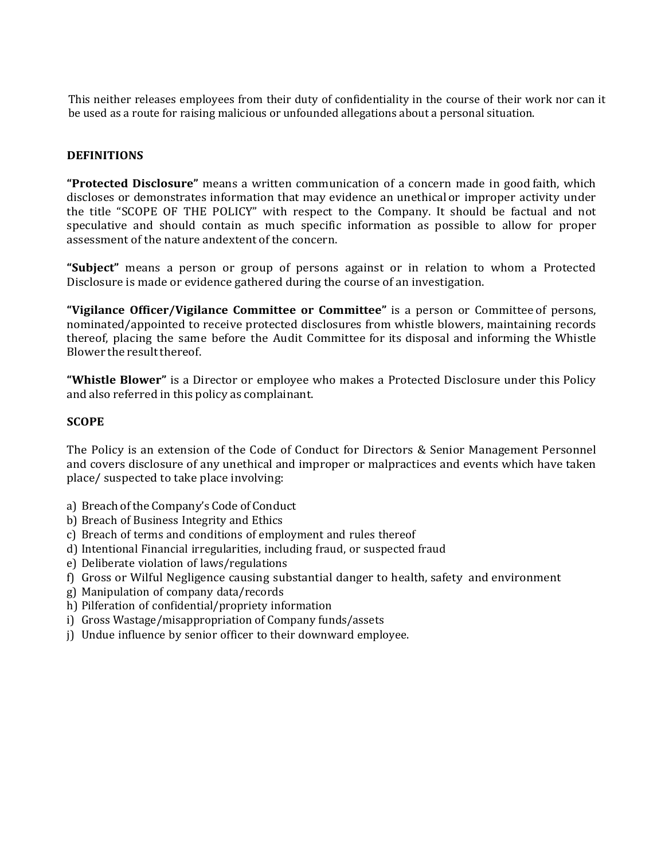This neither releases employees from their duty of confidentiality in the course of their work nor can it be used as a route for raising malicious or unfounded allegations about a personal situation.

## **DEFINITIONS**

**"Protected Disclosure"** means a written communication of a concern made in good faith, which discloses or demonstrates information that may evidence an unethical or improper activity under the title "SCOPE OF THE POLICY" with respect to the Company. It should be factual and not speculative and should contain as much specific information as possible to allow for proper assessment of the nature andextent of the concern.

"Subject" means a person or group of persons against or in relation to whom a Protected Disclosure is made or evidence gathered during the course of an investigation.

**"Vigilance Officer/Vigilance Committee or Committee"** is a person or Committee of persons, nominated/appointed to receive protected disclosures from whistle blowers, maintaining records thereof, placing the same before the Audit Committee for its disposal and informing the Whistle Blower the result thereof.

"Whistle Blower" is a Director or employee who makes a Protected Disclosure under this Policy and also referred in this policy as complainant.

#### **SCOPE**

The Policy is an extension of the Code of Conduct for Directors & Senior Management Personnel and covers disclosure of any unethical and improper or malpractices and events which have taken place/ suspected to take place involving:

- a) Breach of the Company's Code of Conduct
- b) Breach of Business Integrity and Ethics
- c) Breach of terms and conditions of employment and rules thereof
- d) Intentional Financial irregularities, including fraud, or suspected fraud
- e) Deliberate violation of laws/regulations
- f) Gross or Wilful Negligence causing substantial danger to health, safety and environment
- g) Manipulation of company data/records
- h) Pilferation of confidential/propriety information
- i) Gross Wastage/misappropriation of Company funds/assets
- j) Undue influence by senior officer to their downward employee.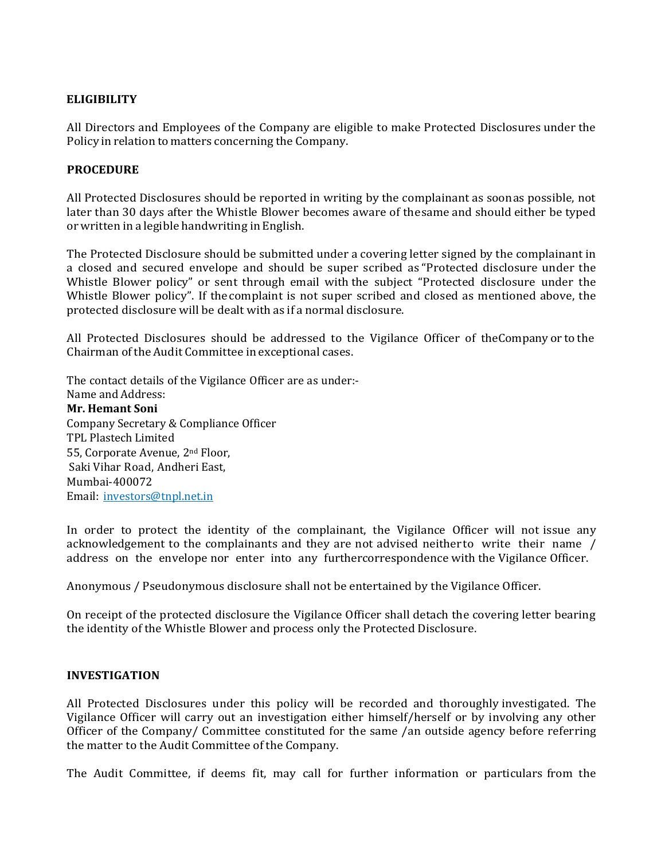## **ELIGIBILITY**

All Directors and Employees of the Company are eligible to make Protected Disclosures under the Policy in relation to matters concerning the Company.

## **PROCEDURE**

All Protected Disclosures should be reported in writing by the complainant as soonas possible, not later than 30 days after the Whistle Blower becomes aware of the same and should either be typed or written in a legible handwriting in English.

The Protected Disclosure should be submitted under a covering letter signed by the complainant in a closed and secured envelope and should be super scribed as "Protected disclosure under the Whistle Blower policy" or sent through email with the subject "Protected disclosure under the Whistle Blower policy". If the complaint is not super scribed and closed as mentioned above, the protected disclosure will be dealt with as if a normal disclosure.

All Protected Disclosures should be addressed to the Vigilance Officer of the Company or to the Chairman of the Audit Committee in exceptional cases.

The contact details of the Vigilance Officer are as under:-

Name and Address: **Mr. Hemant Soni** Company Secretary & Compliance Officer TPL Plastech Limited 55, Corporate Avenue, 2<sup>nd</sup> Floor, Saki Vihar Road, Andheri East, Mumbai‐400072 Email: investors@tnpl.net.in

In order to protect the identity of the complainant, the Vigilance Officer will not issue any acknowledgement to the complainants and they are not advised neither to write their name / address on the envelope nor enter into any further correspondence with the Vigilance Officer.

Anonymous / Pseudonymous disclosure shall not be entertained by the Vigilance Officer.

On receipt of the protected disclosure the Vigilance Officer shall detach the covering letter bearing the identity of the Whistle Blower and process only the Protected Disclosure.

#### **INVESTIGATION**

All Protected Disclosures under this policy will be recorded and thoroughly investigated. The Vigilance Officer will carry out an investigation either himself/herself or by involving any other Officer of the Company/ Committee constituted for the same /an outside agency before referring the matter to the Audit Committee of the Company.

The Audit Committee, if deems fit, may call for further information or particulars from the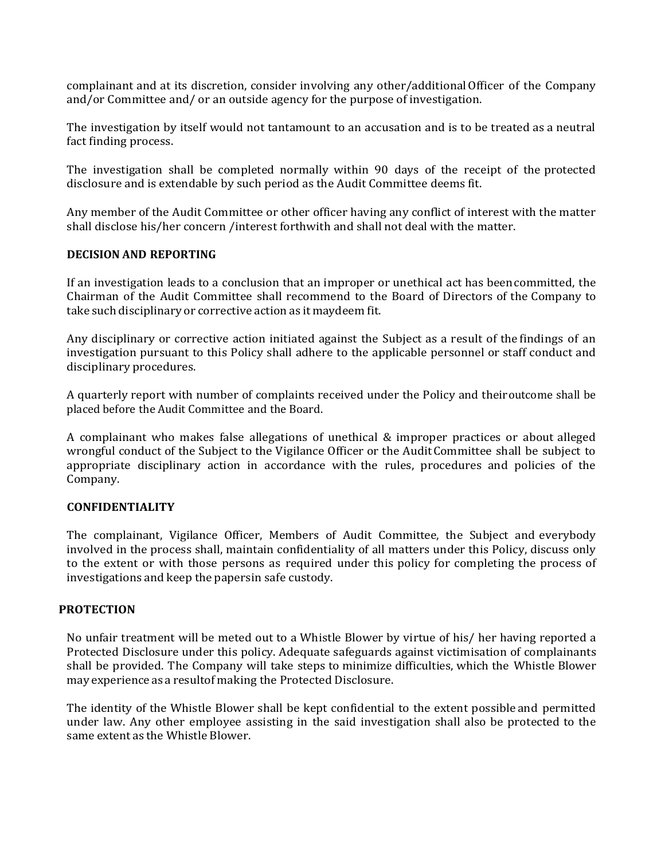complainant and at its discretion, consider involving any other/additional Officer of the Company and/or Committee and/ or an outside agency for the purpose of investigation.

The investigation by itself would not tantamount to an accusation and is to be treated as a neutral fact finding process.

The investigation shall be completed normally within 90 days of the receipt of the protected disclosure and is extendable by such period as the Audit Committee deems fit.

Any member of the Audit Committee or other officer having any conflict of interest with the matter shall disclose his/her concern /interest forthwith and shall not deal with the matter.

#### **DECISION AND REPORTING**

If an investigation leads to a conclusion that an improper or unethical act has been committed, the Chairman of the Audit Committee shall recommend to the Board of Directors of the Company to take such disciplinary or corrective action as it maydeem fit.

Any disciplinary or corrective action initiated against the Subject as a result of the findings of an investigation pursuant to this Policy shall adhere to the applicable personnel or staff conduct and disciplinary procedures.

A quarterly report with number of complaints received under the Policy and theiroutcome shall be placed before the Audit Committee and the Board.

A complainant who makes false allegations of unethical & improper practices or about alleged wrongful conduct of the Subject to the Vigilance Officer or the Audit Committee shall be subject to appropriate disciplinary action in accordance with the rules, procedures and policies of the Company.

#### **CONFIDENTIALITY**

The complainant, Vigilance Officer, Members of Audit Committee, the Subject and everybody involved in the process shall, maintain confidentiality of all matters under this Policy, discuss only to the extent or with those persons as required under this policy for completing the process of investigations and keep the papersin safe custody.

#### **PROTECTION**

No unfair treatment will be meted out to a Whistle Blower by virtue of his/ her having reported a Protected Disclosure under this policy. Adequate safeguards against victimisation of complainants shall be provided. The Company will take steps to minimize difficulties, which the Whistle Blower may experience as a resultof making the Protected Disclosure.

The identity of the Whistle Blower shall be kept confidential to the extent possible and permitted under law. Any other employee assisting in the said investigation shall also be protected to the same extent as the Whistle Blower.